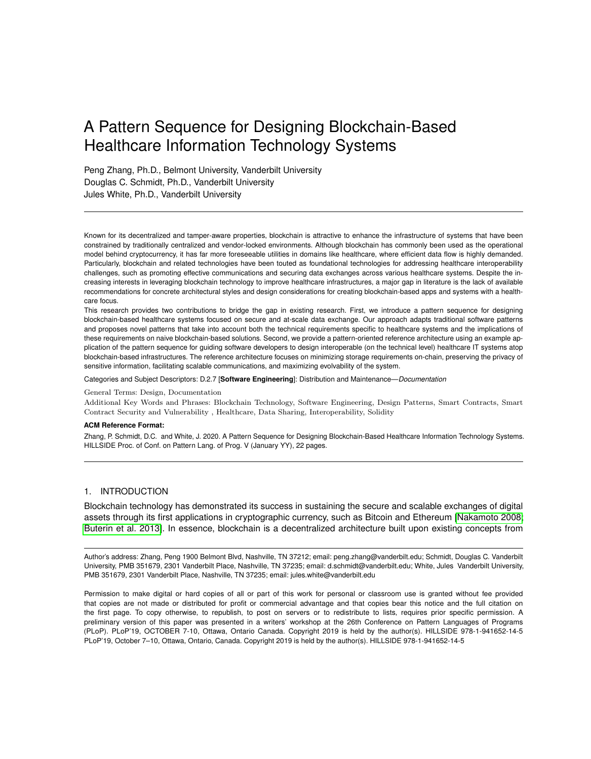# A Pattern Sequence for Designing Blockchain-Based Healthcare Information Technology Systems

Peng Zhang, Ph.D., Belmont University, Vanderbilt University Douglas C. Schmidt, Ph.D., Vanderbilt University Jules White, Ph.D., Vanderbilt University

Known for its decentralized and tamper-aware properties, blockchain is attractive to enhance the infrastructure of systems that have been constrained by traditionally centralized and vendor-locked environments. Although blockchain has commonly been used as the operational model behind cryptocurrency, it has far more foreseeable utilities in domains like healthcare, where efficient data flow is highly demanded. Particularly, blockchain and related technologies have been touted as foundational technologies for addressing healthcare interoperability challenges, such as promoting effective communications and securing data exchanges across various healthcare systems. Despite the increasing interests in leveraging blockchain technology to improve healthcare infrastructures, a major gap in literature is the lack of available recommendations for concrete architectural styles and design considerations for creating blockchain-based apps and systems with a healthcare focus.

This research provides two contributions to bridge the gap in existing research. First, we introduce a pattern sequence for designing blockchain-based healthcare systems focused on secure and at-scale data exchange. Our approach adapts traditional software patterns and proposes novel patterns that take into account both the technical requirements specific to healthcare systems and the implications of these requirements on naive blockchain-based solutions. Second, we provide a pattern-oriented reference architecture using an example application of the pattern sequence for guiding software developers to design interoperable (on the technical level) healthcare IT systems atop blockchain-based infrastructures. The reference architecture focuses on minimizing storage requirements on-chain, preserving the privacy of sensitive information, facilitating scalable communications, and maximizing evolvability of the system.

Categories and Subject Descriptors: D.2.7 [**Software Engineering**]: Distribution and Maintenance—*Documentation*

#### General Terms: Design, Documentation

Additional Key Words and Phrases: Blockchain Technology, Software Engineering, Design Patterns, Smart Contracts, Smart Contract Security and Vulnerability , Healthcare, Data Sharing, Interoperability, Solidity

#### **ACM Reference Format:**

Zhang, P. Schmidt, D.C. and White, J. 2020. A Pattern Sequence for Designing Blockchain-Based Healthcare Information Technology Systems. HILLSIDE Proc. of Conf. on Pattern Lang. of Prog. V (January YY), 22 pages.

# 1. INTRODUCTION

Blockchain technology has demonstrated its success in sustaining the secure and scalable exchanges of digital assets through its first applications in cryptographic currency, such as Bitcoin and Ethereum [\[Nakamoto 2008;](#page-20-0) [Buterin et al.](#page-20-1) 2013]. In essence, blockchain is a decentralized architecture built upon existing concepts from

Author's address: Zhang, Peng 1900 Belmont Blvd, Nashville, TN 37212; email: peng.zhang@vanderbilt.edu; Schmidt, Douglas C. Vanderbilt University, PMB 351679, 2301 Vanderbilt Place, Nashville, TN 37235; email: d.schmidt@vanderbilt.edu; White, Jules Vanderbilt University, PMB 351679, 2301 Vanderbilt Place, Nashville, TN 37235; email: jules.white@vanderbilt.edu

Permission to make digital or hard copies of all or part of this work for personal or classroom use is granted without fee provided that copies are not made or distributed for profit or commercial advantage and that copies bear this notice and the full citation on the first page. To copy otherwise, to republish, to post on servers or to redistribute to lists, requires prior specific permission. A preliminary version of this paper was presented in a writers' workshop at the 26th Conference on Pattern Languages of Programs (PLoP). PLoP'19, OCTOBER 7-10, Ottawa, Ontario Canada. Copyright 2019 is held by the author(s). HILLSIDE 978-1-941652-14-5 PLoP'19, October 7–10, Ottawa, Ontario, Canada. Copyright 2019 is held by the author(s). HILLSIDE 978-1-941652-14-5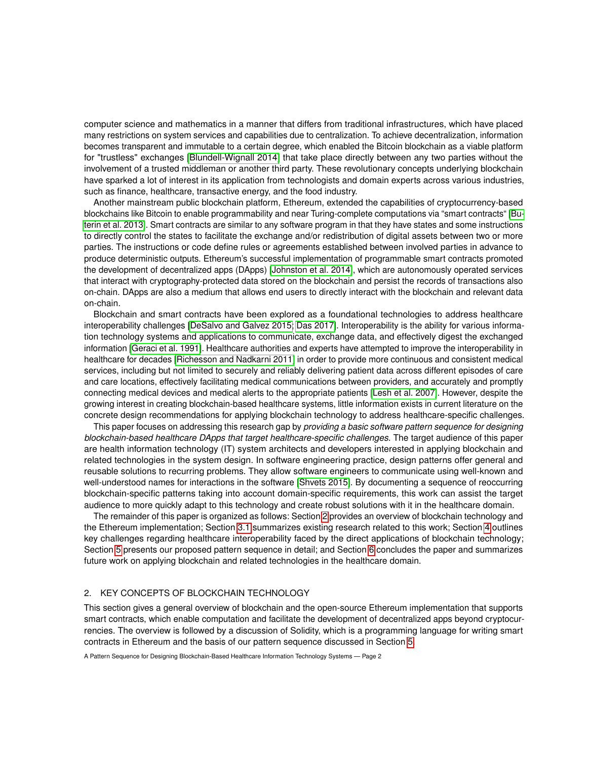computer science and mathematics in a manner that differs from traditional infrastructures, which have placed many restrictions on system services and capabilities due to centralization. To achieve decentralization, information becomes transparent and immutable to a certain degree, which enabled the Bitcoin blockchain as a viable platform for "trustless" exchanges [\[Blundell-Wignall 2014\]](#page-19-0) that take place directly between any two parties without the involvement of a trusted middleman or another third party. These revolutionary concepts underlying blockchain have sparked a lot of interest in its application from technologists and domain experts across various industries, such as finance, healthcare, transactive energy, and the food industry.

Another mainstream public blockchain platform, Ethereum, extended the capabilities of cryptocurrency-based blockchains like Bitcoin to enable programmability and near Turing-complete computations via "smart contracts" [\[Bu](#page-20-1)[terin et al.](#page-20-1) 2013]. Smart contracts are similar to any software program in that they have states and some instructions to directly control the states to facilitate the exchange and/or redistribution of digital assets between two or more parties. The instructions or code define rules or agreements established between involved parties in advance to produce deterministic outputs. Ethereum's successful implementation of programmable smart contracts promoted the development of decentralized apps (DApps) [\[Johnston et al.](#page-20-2) 2014], which are autonomously operated services that interact with cryptography-protected data stored on the blockchain and persist the records of transactions also on-chain. DApps are also a medium that allows end users to directly interact with the blockchain and relevant data on-chain.

Blockchain and smart contracts have been explored as a foundational technologies to address healthcare interoperability challenges [\[DeSalvo and Galvez 2015;](#page-20-3) [Das 2017\]](#page-20-4). Interoperability is the ability for various information technology systems and applications to communicate, exchange data, and effectively digest the exchanged information [\[Geraci et al.](#page-20-5) 1991]. Healthcare authorities and experts have attempted to improve the interoperability in healthcare for decades [\[Richesson and Nadkarni 2011\]](#page-21-0) in order to provide more continuous and consistent medical services, including but not limited to securely and reliably delivering patient data across different episodes of care and care locations, effectively facilitating medical communications between providers, and accurately and promptly connecting medical devices and medical alerts to the appropriate patients [\[Lesh et al.](#page-20-6) 2007]. However, despite the growing interest in creating blockchain-based healthcare systems, little information exists in current literature on the concrete design recommendations for applying blockchain technology to address healthcare-specific challenges.

This paper focuses on addressing this research gap by *providing a basic software pattern sequence for designing blockchain-based healthcare DApps that target healthcare-specific challenges*. The target audience of this paper are health information technology (IT) system architects and developers interested in applying blockchain and related technologies in the system design. In software engineering practice, design patterns offer general and reusable solutions to recurring problems. They allow software engineers to communicate using well-known and well-understood names for interactions in the software [\[Shvets 2015\]](#page-21-1). By documenting a sequence of reoccurring blockchain-specific patterns taking into account domain-specific requirements, this work can assist the target audience to more quickly adapt to this technology and create robust solutions with it in the healthcare domain.

The remainder of this paper is organized as follows: Section [2](#page-1-0) provides an overview of blockchain technology and the Ethereum implementation; Section [3.1](#page-3-0) summarizes existing research related to this work; Section [4](#page-4-0) outlines key challenges regarding healthcare interoperability faced by the direct applications of blockchain technology; Section [5](#page-6-0) presents our proposed pattern sequence in detail; and Section [6](#page-18-0) concludes the paper and summarizes future work on applying blockchain and related technologies in the healthcare domain.

# <span id="page-1-0"></span>2. KEY CONCEPTS OF BLOCKCHAIN TECHNOLOGY

This section gives a general overview of blockchain and the open-source Ethereum implementation that supports smart contracts, which enable computation and facilitate the development of decentralized apps beyond cryptocurrencies. The overview is followed by a discussion of Solidity, which is a programming language for writing smart contracts in Ethereum and the basis of our pattern sequence discussed in Section [5.](#page-6-0)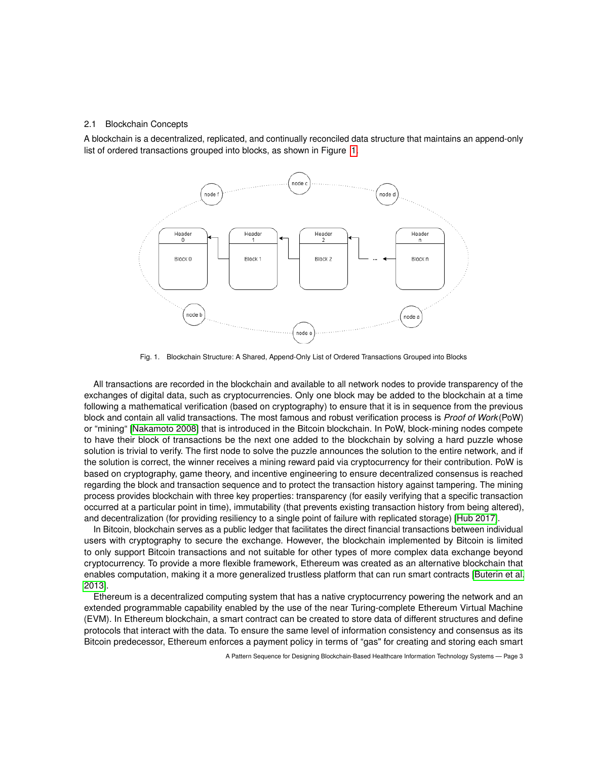#### <span id="page-2-1"></span>2.1 Blockchain Concepts

A blockchain is a decentralized, replicated, and continually reconciled data structure that maintains an append-only list of ordered transactions grouped into blocks, as shown in Figure [1.](#page-2-0)



<span id="page-2-0"></span>Fig. 1. Blockchain Structure: A Shared, Append-Only List of Ordered Transactions Grouped into Blocks

All transactions are recorded in the blockchain and available to all network nodes to provide transparency of the exchanges of digital data, such as cryptocurrencies. Only one block may be added to the blockchain at a time following a mathematical verification (based on cryptography) to ensure that it is in sequence from the previous block and contain all valid transactions. The most famous and robust verification process is *Proof of Work*(PoW) or "mining" [\[Nakamoto 2008\]](#page-20-0) that is introduced in the Bitcoin blockchain. In PoW, block-mining nodes compete to have their block of transactions be the next one added to the blockchain by solving a hard puzzle whose solution is trivial to verify. The first node to solve the puzzle announces the solution to the entire network, and if the solution is correct, the winner receives a mining reward paid via cryptocurrency for their contribution. PoW is based on cryptography, game theory, and incentive engineering to ensure decentralized consensus is reached regarding the block and transaction sequence and to protect the transaction history against tampering. The mining process provides blockchain with three key properties: transparency (for easily verifying that a specific transaction occurred at a particular point in time), immutability (that prevents existing transaction history from being altered), and decentralization (for providing resiliency to a single point of failure with replicated storage) [\[Hub 2017\]](#page-20-7).

In Bitcoin, blockchain serves as a public ledger that facilitates the direct financial transactions between individual users with cryptography to secure the exchange. However, the blockchain implemented by Bitcoin is limited to only support Bitcoin transactions and not suitable for other types of more complex data exchange beyond cryptocurrency. To provide a more flexible framework, Ethereum was created as an alternative blockchain that enables computation, making it a more generalized trustless platform that can run smart contracts [\[Buterin et al.](#page-20-1) [2013\]](#page-20-1).

Ethereum is a decentralized computing system that has a native cryptocurrency powering the network and an extended programmable capability enabled by the use of the near Turing-complete Ethereum Virtual Machine (EVM). In Ethereum blockchain, a smart contract can be created to store data of different structures and define protocols that interact with the data. To ensure the same level of information consistency and consensus as its Bitcoin predecessor, Ethereum enforces a payment policy in terms of "gas" for creating and storing each smart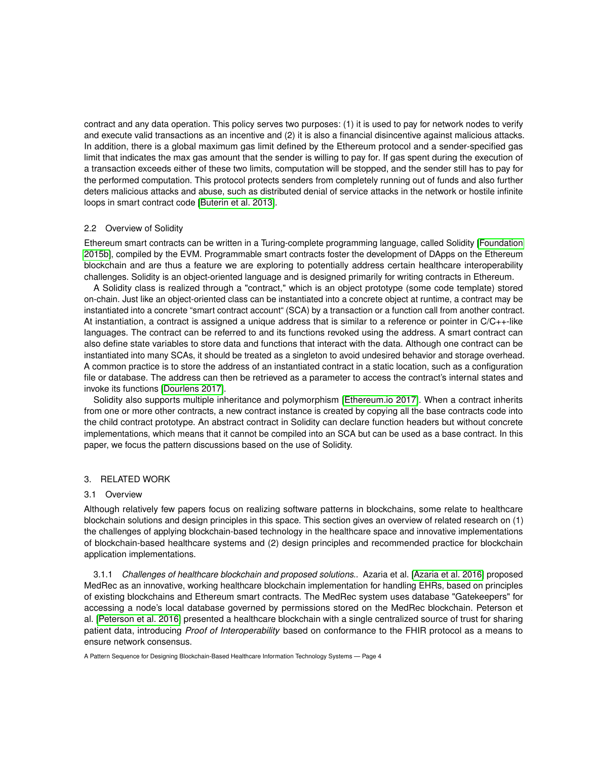contract and any data operation. This policy serves two purposes: (1) it is used to pay for network nodes to verify and execute valid transactions as an incentive and (2) it is also a financial disincentive against malicious attacks. In addition, there is a global maximum gas limit defined by the Ethereum protocol and a sender-specified gas limit that indicates the max gas amount that the sender is willing to pay for. If gas spent during the execution of a transaction exceeds either of these two limits, computation will be stopped, and the sender still has to pay for the performed computation. This protocol protects senders from completely running out of funds and also further deters malicious attacks and abuse, such as distributed denial of service attacks in the network or hostile infinite loops in smart contract code [\[Buterin et al. 2013\]](#page-20-1).

## 2.2 Overview of Solidity

Ethereum smart contracts can be written in a Turing-complete programming language, called Solidity [\[Foundation](#page-20-8) [2015b\]](#page-20-8), compiled by the EVM. Programmable smart contracts foster the development of DApps on the Ethereum blockchain and are thus a feature we are exploring to potentially address certain healthcare interoperability challenges. Solidity is an object-oriented language and is designed primarily for writing contracts in Ethereum.

A Solidity class is realized through a "contract," which is an object prototype (some code template) stored on-chain. Just like an object-oriented class can be instantiated into a concrete object at runtime, a contract may be instantiated into a concrete "smart contract account" (SCA) by a transaction or a function call from another contract. At instantiation, a contract is assigned a unique address that is similar to a reference or pointer in C/C++-like languages. The contract can be referred to and its functions revoked using the address. A smart contract can also define state variables to store data and functions that interact with the data. Although one contract can be instantiated into many SCAs, it should be treated as a singleton to avoid undesired behavior and storage overhead. A common practice is to store the address of an instantiated contract in a static location, such as a configuration file or database. The address can then be retrieved as a parameter to access the contract's internal states and invoke its functions [\[Dourlens 2017\]](#page-20-9).

Solidity also supports multiple inheritance and polymorphism [\[Ethereum.io 2017\]](#page-20-10). When a contract inherits from one or more other contracts, a new contract instance is created by copying all the base contracts code into the child contract prototype. An abstract contract in Solidity can declare function headers but without concrete implementations, which means that it cannot be compiled into an SCA but can be used as a base contract. In this paper, we focus the pattern discussions based on the use of Solidity.

## 3. RELATED WORK

## <span id="page-3-0"></span>3.1 Overview

Although relatively few papers focus on realizing software patterns in blockchains, some relate to healthcare blockchain solutions and design principles in this space. This section gives an overview of related research on (1) the challenges of applying blockchain-based technology in the healthcare space and innovative implementations of blockchain-based healthcare systems and (2) design principles and recommended practice for blockchain application implementations.

3.1.1 *Challenges of healthcare blockchain and proposed solutions..* Azaria et al. [\[Azaria et al.](#page-19-1) 2016] proposed MedRec as an innovative, working healthcare blockchain implementation for handling EHRs, based on principles of existing blockchains and Ethereum smart contracts. The MedRec system uses database "Gatekeepers" for accessing a node's local database governed by permissions stored on the MedRec blockchain. Peterson et al. [\[Peterson et al.](#page-20-11) 2016] presented a healthcare blockchain with a single centralized source of trust for sharing patient data, introducing *Proof of Interoperability* based on conformance to the FHIR protocol as a means to ensure network consensus.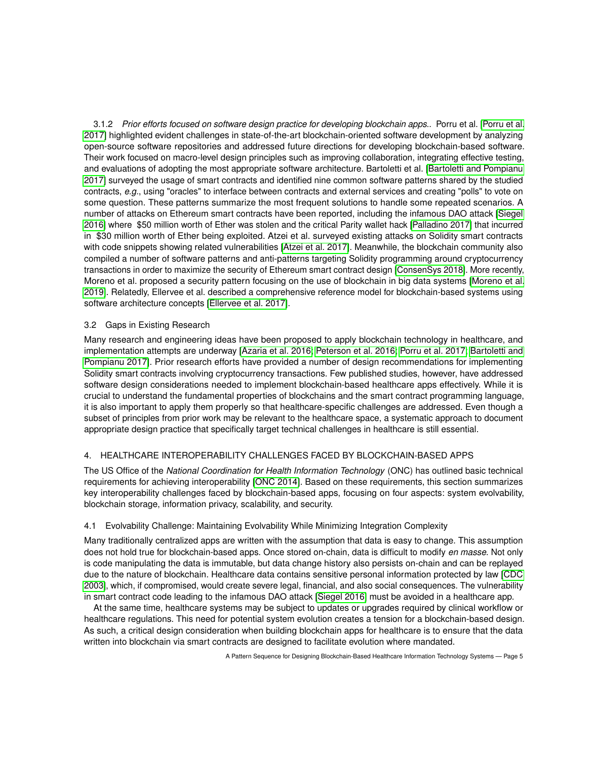3.1.2 *Prior efforts focused on software design practice for developing blockchain apps..* Porru et al. [\[Porru et al.](#page-20-12) [2017\]](#page-20-12) highlighted evident challenges in state-of-the-art blockchain-oriented software development by analyzing open-source software repositories and addressed future directions for developing blockchain-based software. Their work focused on macro-level design principles such as improving collaboration, integrating effective testing, and evaluations of adopting the most appropriate software architecture. Bartoletti et al. [\[Bartoletti and Pompianu](#page-19-2) [2017\]](#page-19-2) surveyed the usage of smart contracts and identified nine common software patterns shared by the studied contracts, *e.g.*, using "oracles" to interface between contracts and external services and creating "polls" to vote on some question. These patterns summarize the most frequent solutions to handle some repeated scenarios. A number of attacks on Ethereum smart contracts have been reported, including the infamous DAO attack [\[Siegel](#page-21-2) [2016\]](#page-21-2) where \$50 million worth of Ether was stolen and the critical Parity wallet hack [\[Palladino 2017\]](#page-20-13) that incurred in \$30 million worth of Ether being exploited. Atzei et al. surveyed existing attacks on Solidity smart contracts with code snippets showing related vulnerabilities [\[Atzei et al.](#page-19-3) 2017]. Meanwhile, the blockchain community also compiled a number of software patterns and anti-patterns targeting Solidity programming around cryptocurrency transactions in order to maximize the security of Ethereum smart contract design [\[ConsenSys 2018\]](#page-20-14). More recently, Moreno et al. proposed a security pattern focusing on the use of blockchain in big data systems [\[Moreno et al.](#page-20-15) [2019\]](#page-20-15). Relatedly, Ellervee et al. described a comprehensive reference model for blockchain-based systems using software architecture concepts [\[Ellervee et al. 2017\]](#page-20-16).

# 3.2 Gaps in Existing Research

Many research and engineering ideas have been proposed to apply blockchain technology in healthcare, and implementation attempts are underway [\[Azaria et al.](#page-19-1) 2016; [Peterson et al.](#page-20-11) 2016; [Porru et al.](#page-20-12) 2017; [Bartoletti and](#page-19-2) [Pompianu 2017\]](#page-19-2). Prior research efforts have provided a number of design recommendations for implementing Solidity smart contracts involving cryptocurrency transactions. Few published studies, however, have addressed software design considerations needed to implement blockchain-based healthcare apps effectively. While it is crucial to understand the fundamental properties of blockchains and the smart contract programming language, it is also important to apply them properly so that healthcare-specific challenges are addressed. Even though a subset of principles from prior work may be relevant to the healthcare space, a systematic approach to document appropriate design practice that specifically target technical challenges in healthcare is still essential.

# <span id="page-4-0"></span>4. HEALTHCARE INTEROPERABILITY CHALLENGES FACED BY BLOCKCHAIN-BASED APPS

The US Office of the *National Coordination for Health Information Technology* (ONC) has outlined basic technical requirements for achieving interoperability [\[ONC 2014\]](#page-20-17). Based on these requirements, this section summarizes key interoperability challenges faced by blockchain-based apps, focusing on four aspects: system evolvability, blockchain storage, information privacy, scalability, and security.

## 4.1 Evolvability Challenge: Maintaining Evolvability While Minimizing Integration Complexity

Many traditionally centralized apps are written with the assumption that data is easy to change. This assumption does not hold true for blockchain-based apps. Once stored on-chain, data is difficult to modify *en masse*. Not only is code manipulating the data is immutable, but data change history also persists on-chain and can be replayed due to the nature of blockchain. Healthcare data contains sensitive personal information protected by law [\[CDC](#page-20-18) [2003\]](#page-20-18), which, if compromised, would create severe legal, financial, and also social consequences. The vulnerability in smart contract code leading to the infamous DAO attack [\[Siegel 2016\]](#page-21-2) must be avoided in a healthcare app.

At the same time, healthcare systems may be subject to updates or upgrades required by clinical workflow or healthcare regulations. This need for potential system evolution creates a tension for a blockchain-based design. As such, a critical design consideration when building blockchain apps for healthcare is to ensure that the data written into blockchain via smart contracts are designed to facilitate evolution where mandated.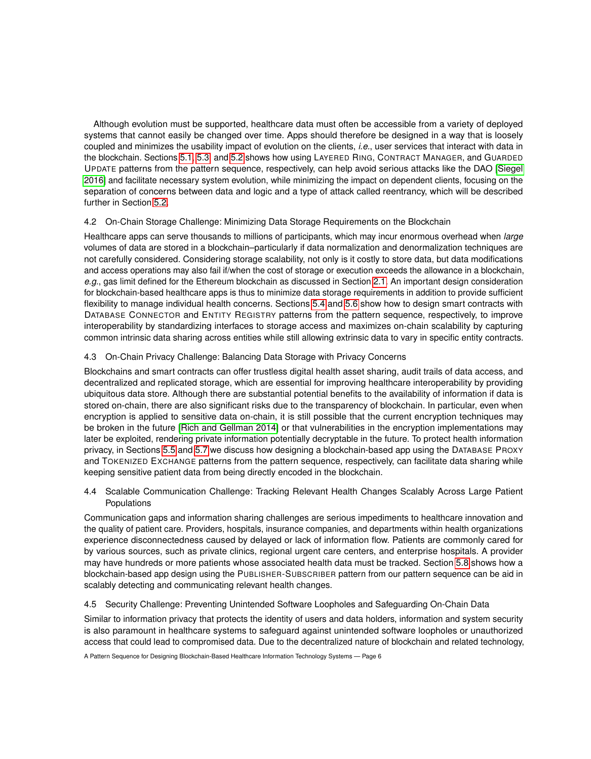Although evolution must be supported, healthcare data must often be accessible from a variety of deployed systems that cannot easily be changed over time. Apps should therefore be designed in a way that is loosely coupled and minimizes the usability impact of evolution on the clients, *i.e.*, user services that interact with data in the blockchain. Sections [5.1,](#page-6-1) [5.3,](#page-10-0) and [5.2](#page-8-0) shows how using LAYERED RING, CONTRACT MANAGER, and GUARDED UPDATE patterns from the pattern sequence, respectively, can help avoid serious attacks like the DAO [\[Siegel](#page-21-2) [2016\]](#page-21-2) and facilitate necessary system evolution, while minimizing the impact on dependent clients, focusing on the separation of concerns between data and logic and a type of attack called reentrancy, which will be described further in Section [5.2.](#page-8-0)

# 4.2 On-Chain Storage Challenge: Minimizing Data Storage Requirements on the Blockchain

Healthcare apps can serve thousands to millions of participants, which may incur enormous overhead when *large* volumes of data are stored in a blockchain–particularly if data normalization and denormalization techniques are not carefully considered. Considering storage scalability, not only is it costly to store data, but data modifications and access operations may also fail if/when the cost of storage or execution exceeds the allowance in a blockchain, *e.g.*, gas limit defined for the Ethereum blockchain as discussed in Section [2.1.](#page-2-1) An important design consideration for blockchain-based healthcare apps is thus to minimize data storage requirements in addition to provide sufficient flexibility to manage individual health concerns. Sections [5.4](#page-11-0) and [5.6](#page-14-0) show how to design smart contracts with DATABASE CONNECTOR and ENTITY REGISTRY patterns from the pattern sequence, respectively, to improve interoperability by standardizing interfaces to storage access and maximizes on-chain scalability by capturing common intrinsic data sharing across entities while still allowing extrinsic data to vary in specific entity contracts.

# 4.3 On-Chain Privacy Challenge: Balancing Data Storage with Privacy Concerns

Blockchains and smart contracts can offer trustless digital health asset sharing, audit trails of data access, and decentralized and replicated storage, which are essential for improving healthcare interoperability by providing ubiquitous data store. Although there are substantial potential benefits to the availability of information if data is stored on-chain, there are also significant risks due to the transparency of blockchain. In particular, even when encryption is applied to sensitive data on-chain, it is still possible that the current encryption techniques may be broken in the future [\[Rich and Gellman 2014\]](#page-21-3) or that vulnerabilities in the encryption implementations may later be exploited, rendering private information potentially decryptable in the future. To protect health information privacy, in Sections [5.5](#page-13-0) and [5.7](#page-16-0) we discuss how designing a blockchain-based app using the DATABASE PROXY and TOKENIZED EXCHANGE patterns from the pattern sequence, respectively, can facilitate data sharing while keeping sensitive patient data from being directly encoded in the blockchain.

4.4 Scalable Communication Challenge: Tracking Relevant Health Changes Scalably Across Large Patient Populations

Communication gaps and information sharing challenges are serious impediments to healthcare innovation and the quality of patient care. Providers, hospitals, insurance companies, and departments within health organizations experience disconnectedness caused by delayed or lack of information flow. Patients are commonly cared for by various sources, such as private clinics, regional urgent care centers, and enterprise hospitals. A provider may have hundreds or more patients whose associated health data must be tracked. Section [5.8](#page-17-0) shows how a blockchain-based app design using the PUBLISHER-SUBSCRIBER pattern from our pattern sequence can be aid in scalably detecting and communicating relevant health changes.

# 4.5 Security Challenge: Preventing Unintended Software Loopholes and Safeguarding On-Chain Data

Similar to information privacy that protects the identity of users and data holders, information and system security is also paramount in healthcare systems to safeguard against unintended software loopholes or unauthorized access that could lead to compromised data. Due to the decentralized nature of blockchain and related technology,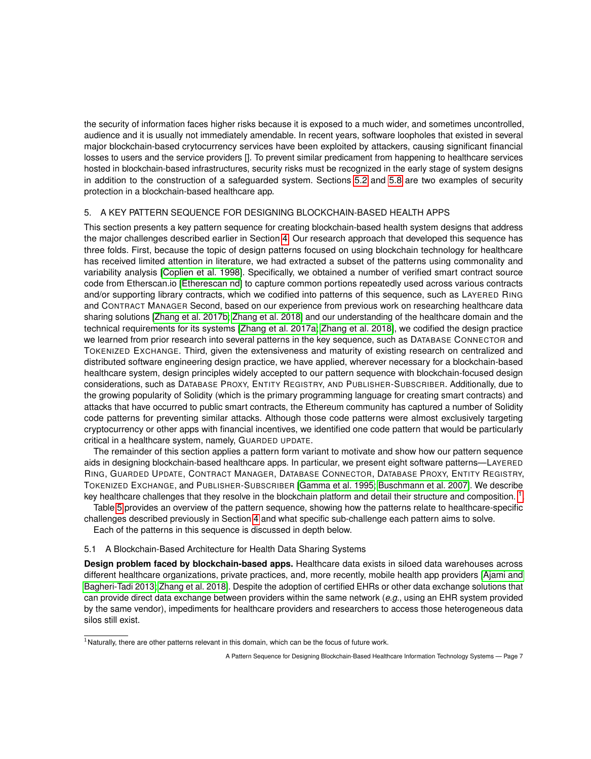the security of information faces higher risks because it is exposed to a much wider, and sometimes uncontrolled, audience and it is usually not immediately amendable. In recent years, software loopholes that existed in several major blockchain-based crytocurrency services have been exploited by attackers, causing significant financial losses to users and the service providers []. To prevent similar predicament from happening to healthcare services hosted in blockchain-based infrastructures, security risks must be recognized in the early stage of system designs in addition to the construction of a safeguarded system. Sections [5.2](#page-8-0) and [5.8](#page-17-0) are two examples of security protection in a blockchain-based healthcare app.

# <span id="page-6-0"></span>5. A KEY PATTERN SEQUENCE FOR DESIGNING BLOCKCHAIN-BASED HEALTH APPS

This section presents a key pattern sequence for creating blockchain-based health system designs that address the major challenges described earlier in Section [4.](#page-4-0) Our research approach that developed this sequence has three folds. First, because the topic of design patterns focused on using blockchain technology for healthcare has received limited attention in literature, we had extracted a subset of the patterns using commonality and variability analysis [\[Coplien et al.](#page-20-19) 1998]. Specifically, we obtained a number of verified smart contract source code from Etherscan.io [\[Etherescan nd\]](#page-20-20) to capture common portions repeatedly used across various contracts and/or supporting library contracts, which we codified into patterns of this sequence, such as LAYERED RING and CONTRACT MANAGER Second, based on our experience from previous work on researching healthcare data sharing solutions [\[Zhang et al.](#page-21-4) 2017b; [Zhang et al.](#page-21-5) 2018] and our understanding of the healthcare domain and the technical requirements for its systems [\[Zhang et al.](#page-21-6) 2017a; [Zhang et al.](#page-21-7) 2018], we codified the design practice we learned from prior research into several patterns in the key sequence, such as DATABASE CONNECTOR and TOKENIZED EXCHANGE. Third, given the extensiveness and maturity of existing research on centralized and distributed software engineering design practice, we have applied, wherever necessary for a blockchain-based healthcare system, design principles widely accepted to our pattern sequence with blockchain-focused design considerations, such as DATABASE PROXY, ENTITY REGISTRY, AND PUBLISHER-SUBSCRIBER. Additionally, due to the growing popularity of Solidity (which is the primary programming language for creating smart contracts) and attacks that have occurred to public smart contracts, the Ethereum community has captured a number of Solidity code patterns for preventing similar attacks. Although those code patterns were almost exclusively targeting cryptocurrency or other apps with financial incentives, we identified one code pattern that would be particularly critical in a healthcare system, namely, GUARDED UPDATE.

The remainder of this section applies a pattern form variant to motivate and show how our pattern sequence aids in designing blockchain-based healthcare apps. In particular, we present eight software patterns—LAYERED RING, GUARDED UPDATE, CONTRACT MANAGER, DATABASE CONNECTOR, DATABASE PROXY, ENTITY REGISTRY, TOKENIZED EXCHANGE, and PUBLISHER-SUBSCRIBER [\[Gamma et al.](#page-20-21) 1995; [Buschmann et al.](#page-20-22) 2007]. We describe key healthcare challenges that they resolve in the blockchain platform and detail their structure and composition.  $^1$  $^1$ .

Table [5](#page-6-0) provides an overview of the pattern sequence, showing how the patterns relate to healthcare-specific challenges described previously in Section [4](#page-4-0) and what specific sub-challenge each pattern aims to solve.

Each of the patterns in this sequence is discussed in depth below.

## <span id="page-6-1"></span>5.1 A Blockchain-Based Architecture for Health Data Sharing Systems

**Design problem faced by blockchain-based apps.** Healthcare data exists in siloed data warehouses across different healthcare organizations, private practices, and, more recently, mobile health app providers [\[Ajami and](#page-19-4) [Bagheri-Tadi 2013;](#page-19-4) [Zhang et al.](#page-21-5) 2018]. Despite the adoption of certified EHRs or other data exchange solutions that can provide direct data exchange between providers within the same network (*e.g.*, using an EHR system provided by the same vendor), impediments for healthcare providers and researchers to access those heterogeneous data silos still exist.

<span id="page-6-2"></span> $<sup>1</sup>$ Naturally, there are other patterns relevant in this domain, which can be the focus of future work.</sup>

A Pattern Sequence for Designing Blockchain-Based Healthcare Information Technology Systems — Page 7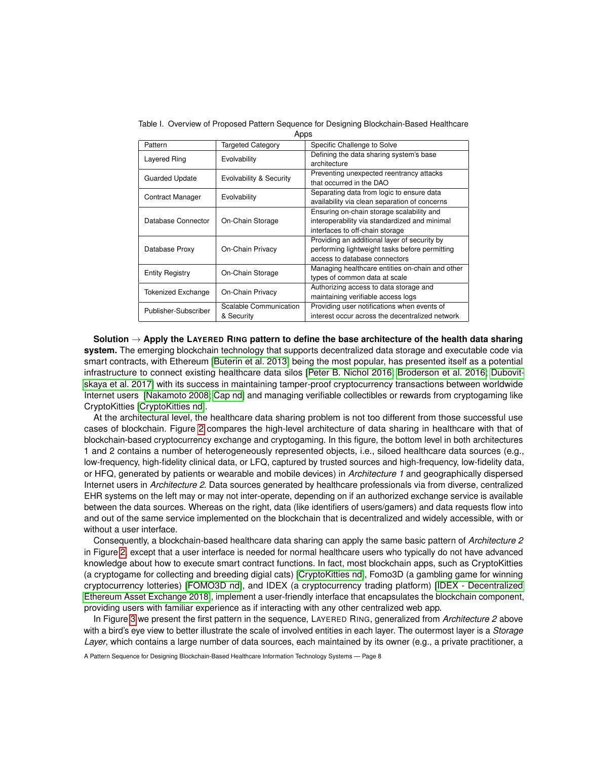| Apps                   |                                      |                                                                                                                                 |
|------------------------|--------------------------------------|---------------------------------------------------------------------------------------------------------------------------------|
| Pattern                | Targeted Category                    | Specific Challenge to Solve                                                                                                     |
| Layered Ring           | Evolvability                         | Defining the data sharing system's base<br>architecture                                                                         |
| Guarded Update         | Evolvability & Security              | Preventing unexpected reentrancy attacks<br>that occurred in the DAO                                                            |
| Contract Manager       | Evolvability                         | Separating data from logic to ensure data<br>availability via clean separation of concerns                                      |
| Database Connector     | On-Chain Storage                     | Ensuring on-chain storage scalability and<br>interoperability via standardized and minimal<br>interfaces to off-chain storage   |
| Database Proxy         | On-Chain Privacy                     | Providing an additional layer of security by<br>performing lightweight tasks before permitting<br>access to database connectors |
| <b>Entity Registry</b> | On-Chain Storage                     | Managing healthcare entities on-chain and other<br>types of common data at scale                                                |
| Tokenized Exchange     | On-Chain Privacy                     | Authorizing access to data storage and<br>maintaining verifiable access logs                                                    |
| Publisher-Subscriber   | Scalable Communication<br>& Security | Providing user notifications when events of<br>interest occur across the decentralized network                                  |

Table I. Overview of Proposed Pattern Sequence for Designing Blockchain-Based Healthcare

**Solution** → **Apply the LAYERED RING pattern to define the base architecture of the health data sharing system.** The emerging blockchain technology that supports decentralized data storage and executable code via smart contracts, with Ethereum [\[Buterin et al.](#page-20-1) 2013] being the most popular, has presented itself as a potential infrastructure to connect existing healthcare data silos [\[Peter B. Nichol 2016;](#page-20-23) [Broderson et al.](#page-20-24) 2016; [Dubovit](#page-20-25)[skaya et al.](#page-20-25) 2017] with its success in maintaining tamper-proof cryptocurrency transactions between worldwide Internet users [\[Nakamoto 2008;](#page-20-0) [Cap nd\]](#page-20-26) and managing verifiable collectibles or rewards from cryptogaming like CryptoKitties [\[CryptoKitties nd\]](#page-20-27).

At the architectural level, the healthcare data sharing problem is not too different from those successful use cases of blockchain. Figure [2](#page-8-1) compares the high-level architecture of data sharing in healthcare with that of blockchain-based cryptocurrency exchange and cryptogaming. In this figure, the bottom level in both architectures 1 and 2 contains a number of heterogeneously represented objects, i.e., siloed healthcare data sources (e.g., low-frequency, high-fidelity clinical data, or LFQ, captured by trusted sources and high-frequency, low-fidelity data, or HFQ, generated by patients or wearable and mobile devices) in *Architecture 1* and geographically dispersed Internet users in *Architecture 2*. Data sources generated by healthcare professionals via from diverse, centralized EHR systems on the left may or may not inter-operate, depending on if an authorized exchange service is available between the data sources. Whereas on the right, data (like identifiers of users/gamers) and data requests flow into and out of the same service implemented on the blockchain that is decentralized and widely accessible, with or without a user interface.

Consequently, a blockchain-based healthcare data sharing can apply the same basic pattern of *Architecture 2* in Figure [2,](#page-8-1) except that a user interface is needed for normal healthcare users who typically do not have advanced knowledge about how to execute smart contract functions. In fact, most blockchain apps, such as CryptoKitties (a cryptogame for collecting and breeding digial cats) [\[CryptoKitties nd\]](#page-20-27), Fomo3D (a gambling game for winning cryptocurrency lotteries) [\[FOMO3D nd\]](#page-20-28), and IDEX (a cryptocurrency trading platform) [\[IDEX - Decentralized](#page-20-29) [Ethereum Asset Exchange 2018\]](#page-20-29), implement a user-friendly interface that encapsulates the blockchain component, providing users with familiar experience as if interacting with any other centralized web app.

In Figure [3](#page-9-0) we present the first pattern in the sequence, LAYERED RING, generalized from *Architecture 2* above with a bird's eye view to better illustrate the scale of involved entities in each layer. The outermost layer is a *Storage Layer*, which contains a large number of data sources, each maintained by its owner (e.g., a private practitioner, a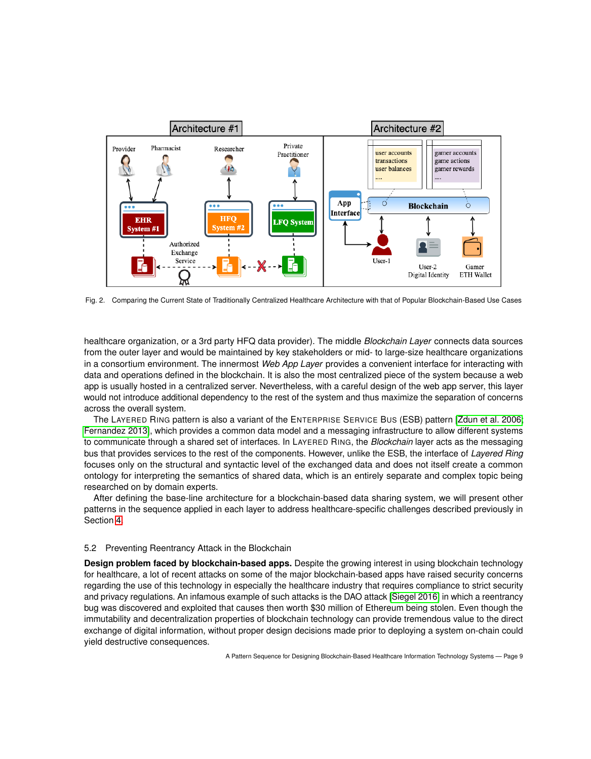

<span id="page-8-1"></span>Fig. 2. Comparing the Current State of Traditionally Centralized Healthcare Architecture with that of Popular Blockchain-Based Use Cases

healthcare organization, or a 3rd party HFQ data provider). The middle *Blockchain Layer* connects data sources from the outer layer and would be maintained by key stakeholders or mid- to large-size healthcare organizations in a consortium environment. The innermost *Web App Layer* provides a convenient interface for interacting with data and operations defined in the blockchain. It is also the most centralized piece of the system because a web app is usually hosted in a centralized server. Nevertheless, with a careful design of the web app server, this layer would not introduce additional dependency to the rest of the system and thus maximize the separation of concerns across the overall system.

The LAYERED RING pattern is also a variant of the ENTERPRISE SERVICE BUS (ESB) pattern [\[Zdun et al.](#page-21-8) 2006; [Fernandez 2013\]](#page-20-30), which provides a common data model and a messaging infrastructure to allow different systems to communicate through a shared set of interfaces. In LAYERED RING, the *Blockchain* layer acts as the messaging bus that provides services to the rest of the components. However, unlike the ESB, the interface of *Layered Ring* focuses only on the structural and syntactic level of the exchanged data and does not itself create a common ontology for interpreting the semantics of shared data, which is an entirely separate and complex topic being researched on by domain experts.

After defining the base-line architecture for a blockchain-based data sharing system, we will present other patterns in the sequence applied in each layer to address healthcare-specific challenges described previously in Section [4.](#page-4-0)

### <span id="page-8-0"></span>5.2 Preventing Reentrancy Attack in the Blockchain

**Design problem faced by blockchain-based apps.** Despite the growing interest in using blockchain technology for healthcare, a lot of recent attacks on some of the major blockchain-based apps have raised security concerns regarding the use of this technology in especially the healthcare industry that requires compliance to strict security and privacy regulations. An infamous example of such attacks is the DAO attack [\[Siegel 2016\]](#page-21-2) in which a reentrancy bug was discovered and exploited that causes then worth \$30 million of Ethereum being stolen. Even though the immutability and decentralization properties of blockchain technology can provide tremendous value to the direct exchange of digital information, without proper design decisions made prior to deploying a system on-chain could yield destructive consequences.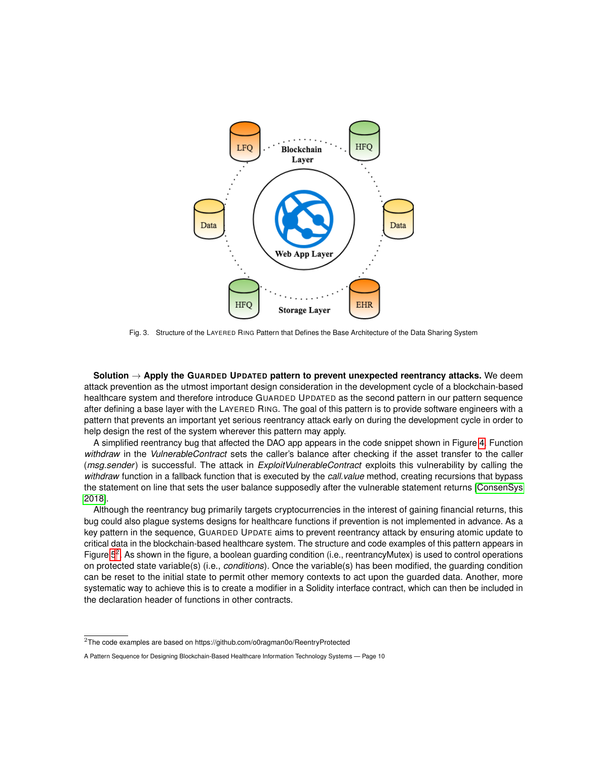

<span id="page-9-0"></span>Fig. 3. Structure of the LAYERED RING Pattern that Defines the Base Architecture of the Data Sharing System

**Solution** → **Apply the GUARDED UPDATED pattern to prevent unexpected reentrancy attacks.** We deem attack prevention as the utmost important design consideration in the development cycle of a blockchain-based healthcare system and therefore introduce GUARDED UPDATED as the second pattern in our pattern sequence after defining a base layer with the LAYERED RING. The goal of this pattern is to provide software engineers with a pattern that prevents an important yet serious reentrancy attack early on during the development cycle in order to help design the rest of the system wherever this pattern may apply.

A simplified reentrancy bug that affected the DAO app appears in the code snippet shown in Figure [4.](#page-10-1) Function *withdraw* in the *VulnerableContract* sets the caller's balance after checking if the asset transfer to the caller (*msg.sender*) is successful. The attack in *ExploitVulnerableContract* exploits this vulnerability by calling the *withdraw* function in a fallback function that is executed by the *call.value* method, creating recursions that bypass the statement on line that sets the user balance supposedly after the vulnerable statement returns [\[ConsenSys](#page-20-14) [2018\]](#page-20-14).

Although the reentrancy bug primarily targets cryptocurrencies in the interest of gaining financial returns, this bug could also plague systems designs for healthcare functions if prevention is not implemented in advance. As a key pattern in the sequence, GUARDED UPDATE aims to prevent reentrancy attack by ensuring atomic update to critical data in the blockchain-based healthcare system. The structure and code examples of this pattern appears in Figure  $5^2$  $5^2$ . As shown in the figure, a boolean guarding condition (i.e., reentrancyMutex) is used to control operations on protected state variable(s) (i.e., *conditions*). Once the variable(s) has been modified, the guarding condition can be reset to the initial state to permit other memory contexts to act upon the guarded data. Another, more systematic way to achieve this is to create a modifier in a Solidity interface contract, which can then be included in the declaration header of functions in other contracts.

<span id="page-9-1"></span><sup>2</sup>The code examples are based on https://github.com/o0ragman0o/ReentryProtected

A Pattern Sequence for Designing Blockchain-Based Healthcare Information Technology Systems — Page 10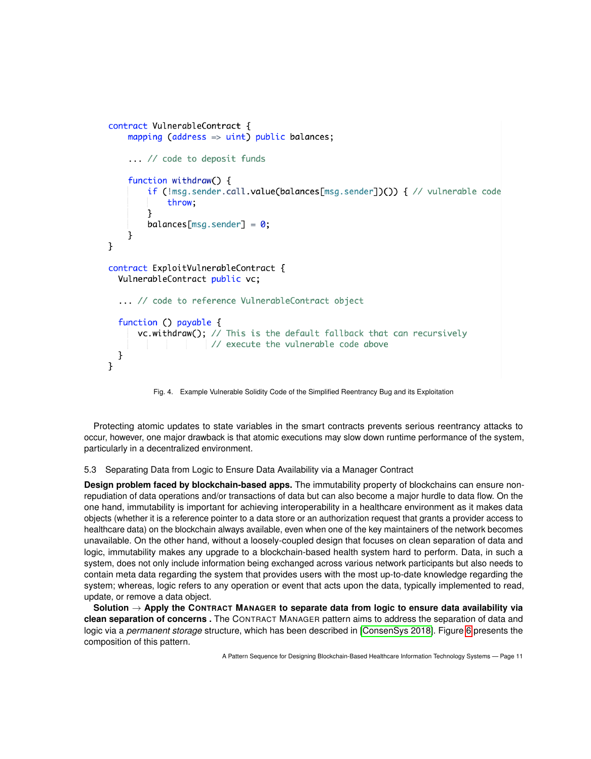```
contract VulnerableContract {
    mapping (address \Rightarrow uint) public balances;
    ... // code to deposit funds
    function withdraw() {
        if (!msg.sender.call.value(balances[msg.sender])()) { // vulnerable code
            throw:
        ł
        balances[msg.sender] = 0;ł
ł
contract ExploitVulnerableContract {
  VulnerableContract public vc;
  ... // code to reference VulnerableContract object
  function () payable \{vc.withdraw(); // This is the default fallback that can recursively
                    // execute the vulnerable code above
 }
ł
```
<span id="page-10-1"></span>Fig. 4. Example Vulnerable Solidity Code of the Simplified Reentrancy Bug and its Exploitation

Protecting atomic updates to state variables in the smart contracts prevents serious reentrancy attacks to occur, however, one major drawback is that atomic executions may slow down runtime performance of the system, particularly in a decentralized environment.

## <span id="page-10-0"></span>5.3 Separating Data from Logic to Ensure Data Availability via a Manager Contract

**Design problem faced by blockchain-based apps.** The immutability property of blockchains can ensure nonrepudiation of data operations and/or transactions of data but can also become a major hurdle to data flow. On the one hand, immutability is important for achieving interoperability in a healthcare environment as it makes data objects (whether it is a reference pointer to a data store or an authorization request that grants a provider access to healthcare data) on the blockchain always available, even when one of the key maintainers of the network becomes unavailable. On the other hand, without a loosely-coupled design that focuses on clean separation of data and logic, immutability makes any upgrade to a blockchain-based health system hard to perform. Data, in such a system, does not only include information being exchanged across various network participants but also needs to contain meta data regarding the system that provides users with the most up-to-date knowledge regarding the system; whereas, logic refers to any operation or event that acts upon the data, typically implemented to read, update, or remove a data object.

**Solution** → **Apply the CONTRACT MANAGER to separate data from logic to ensure data availability via clean separation of concerns .** The CONTRACT MANAGER pattern aims to address the separation of data and logic via a *permanent storage* structure, which has been described in [\[ConsenSys 2018\]](#page-20-14). Figure [6](#page-12-0) presents the composition of this pattern.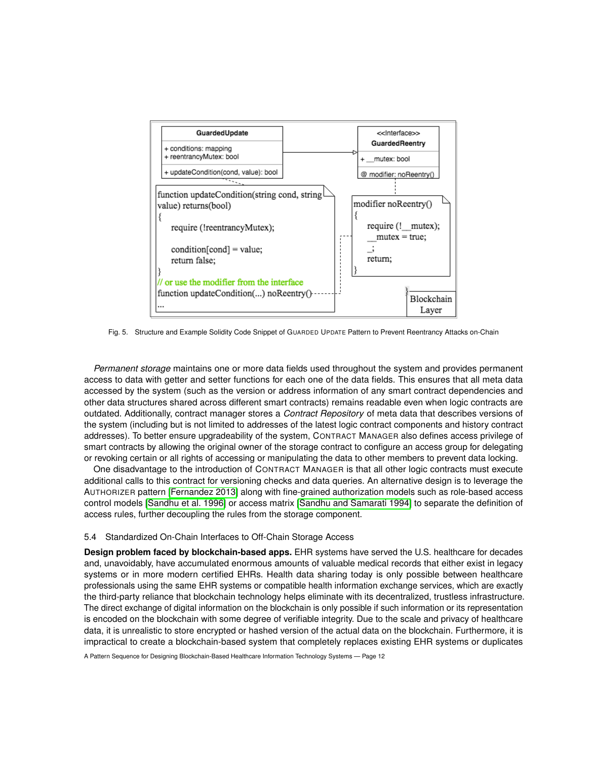

<span id="page-11-1"></span>Fig. 5. Structure and Example Solidity Code Snippet of GUARDED UPDATE Pattern to Prevent Reentrancy Attacks on-Chain

*Permanent storage* maintains one or more data fields used throughout the system and provides permanent access to data with getter and setter functions for each one of the data fields. This ensures that all meta data accessed by the system (such as the version or address information of any smart contract dependencies and other data structures shared across different smart contracts) remains readable even when logic contracts are outdated. Additionally, contract manager stores a *Contract Repository* of meta data that describes versions of the system (including but is not limited to addresses of the latest logic contract components and history contract addresses). To better ensure upgradeability of the system, CONTRACT MANAGER also defines access privilege of smart contracts by allowing the original owner of the storage contract to configure an access group for delegating or revoking certain or all rights of accessing or manipulating the data to other members to prevent data locking.

One disadvantage to the introduction of CONTRACT MANAGER is that all other logic contracts must execute additional calls to this contract for versioning checks and data queries. An alternative design is to leverage the AUTHORIZER pattern [\[Fernandez 2013\]](#page-20-30) along with fine-grained authorization models such as role-based access control models [\[Sandhu et al.](#page-21-9) 1996] or access matrix [\[Sandhu and Samarati 1994\]](#page-21-10) to separate the definition of access rules, further decoupling the rules from the storage component.

## <span id="page-11-0"></span>5.4 Standardized On-Chain Interfaces to Off-Chain Storage Access

**Design problem faced by blockchain-based apps.** EHR systems have served the U.S. healthcare for decades and, unavoidably, have accumulated enormous amounts of valuable medical records that either exist in legacy systems or in more modern certified EHRs. Health data sharing today is only possible between healthcare professionals using the same EHR systems or compatible health information exchange services, which are exactly the third-party reliance that blockchain technology helps eliminate with its decentralized, trustless infrastructure. The direct exchange of digital information on the blockchain is only possible if such information or its representation is encoded on the blockchain with some degree of verifiable integrity. Due to the scale and privacy of healthcare data, it is unrealistic to store encrypted or hashed version of the actual data on the blockchain. Furthermore, it is impractical to create a blockchain-based system that completely replaces existing EHR systems or duplicates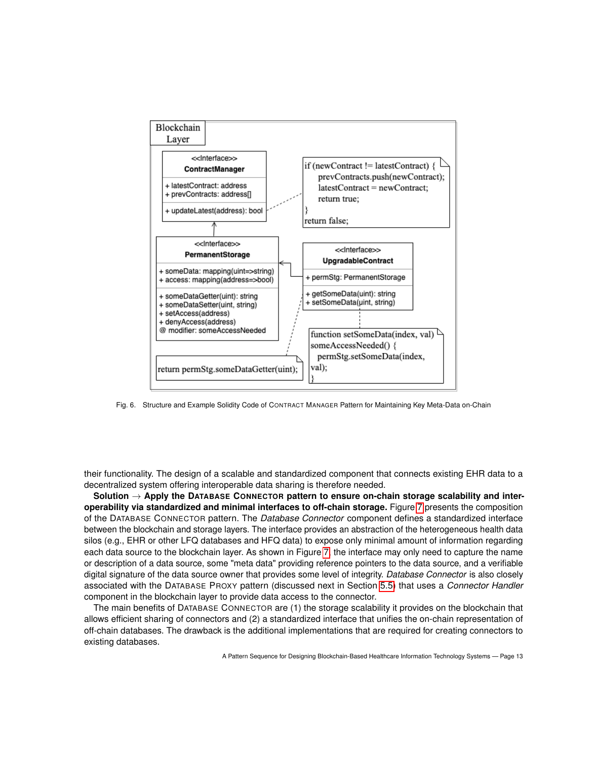

<span id="page-12-0"></span>Fig. 6. Structure and Example Solidity Code of CONTRACT MANAGER Pattern for Maintaining Key Meta-Data on-Chain

their functionality. The design of a scalable and standardized component that connects existing EHR data to a decentralized system offering interoperable data sharing is therefore needed.

**Solution** → **Apply the DATABASE CONNECTOR pattern to ensure on-chain storage scalability and interoperability via standardized and minimal interfaces to off-chain storage.** Figure [7](#page-13-1) presents the composition of the DATABASE CONNECTOR pattern. The *Database Connector* component defines a standardized interface between the blockchain and storage layers. The interface provides an abstraction of the heterogeneous health data silos (e.g., EHR or other LFQ databases and HFQ data) to expose only minimal amount of information regarding each data source to the blockchain layer. As shown in Figure [7,](#page-13-1) the interface may only need to capture the name or description of a data source, some "meta data" providing reference pointers to the data source, and a verifiable digital signature of the data source owner that provides some level of integrity. *Database Connector* is also closely associated with the DATABASE PROXY pattern (discussed next in Section [5.5\)](#page-13-0) that uses a *Connector Handler* component in the blockchain layer to provide data access to the connector.

The main benefits of DATABASE CONNECTOR are (1) the storage scalability it provides on the blockchain that allows efficient sharing of connectors and (2) a standardized interface that unifies the on-chain representation of off-chain databases. The drawback is the additional implementations that are required for creating connectors to existing databases.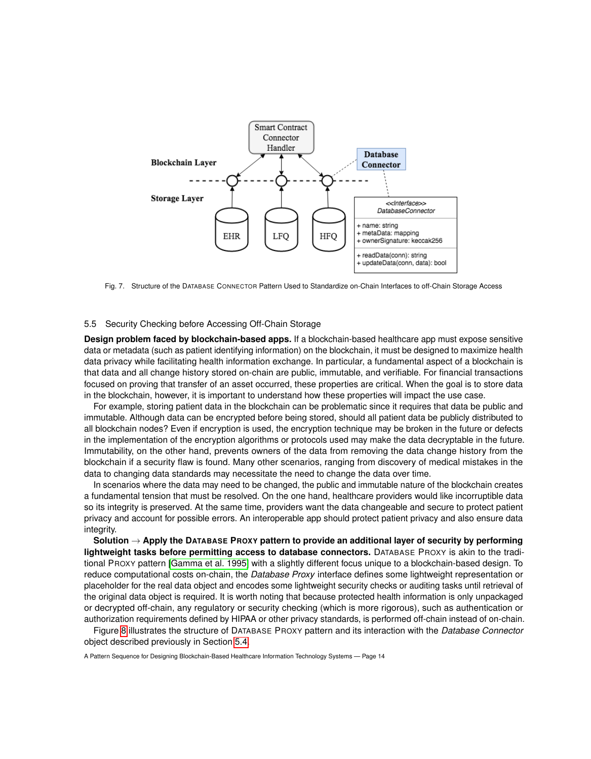

<span id="page-13-1"></span>Fig. 7. Structure of the DATABASE CONNECTOR Pattern Used to Standardize on-Chain Interfaces to off-Chain Storage Access

#### <span id="page-13-0"></span>5.5 Security Checking before Accessing Off-Chain Storage

**Design problem faced by blockchain-based apps.** If a blockchain-based healthcare app must expose sensitive data or metadata (such as patient identifying information) on the blockchain, it must be designed to maximize health data privacy while facilitating health information exchange. In particular, a fundamental aspect of a blockchain is that data and all change history stored on-chain are public, immutable, and verifiable. For financial transactions focused on proving that transfer of an asset occurred, these properties are critical. When the goal is to store data in the blockchain, however, it is important to understand how these properties will impact the use case.

For example, storing patient data in the blockchain can be problematic since it requires that data be public and immutable. Although data can be encrypted before being stored, should all patient data be publicly distributed to all blockchain nodes? Even if encryption is used, the encryption technique may be broken in the future or defects in the implementation of the encryption algorithms or protocols used may make the data decryptable in the future. Immutability, on the other hand, prevents owners of the data from removing the data change history from the blockchain if a security flaw is found. Many other scenarios, ranging from discovery of medical mistakes in the data to changing data standards may necessitate the need to change the data over time.

In scenarios where the data may need to be changed, the public and immutable nature of the blockchain creates a fundamental tension that must be resolved. On the one hand, healthcare providers would like incorruptible data so its integrity is preserved. At the same time, providers want the data changeable and secure to protect patient privacy and account for possible errors. An interoperable app should protect patient privacy and also ensure data integrity.

**Solution** → **Apply the DATABASE PROXY pattern to provide an additional layer of security by performing lightweight tasks before permitting access to database connectors.** DATABASE PROXY is akin to the traditional PROXY pattern [\[Gamma et al.](#page-20-21) 1995] with a slightly different focus unique to a blockchain-based design. To reduce computational costs on-chain, the *Database Proxy* interface defines some lightweight representation or placeholder for the real data object and encodes some lightweight security checks or auditing tasks until retrieval of the original data object is required. It is worth noting that because protected health information is only unpackaged or decrypted off-chain, any regulatory or security checking (which is more rigorous), such as authentication or authorization requirements defined by HIPAA or other privacy standards, is performed off-chain instead of on-chain.

Figure [8](#page-14-1) illustrates the structure of DATABASE PROXY pattern and its interaction with the *Database Connector* object described previously in Section [5.4.](#page-11-0)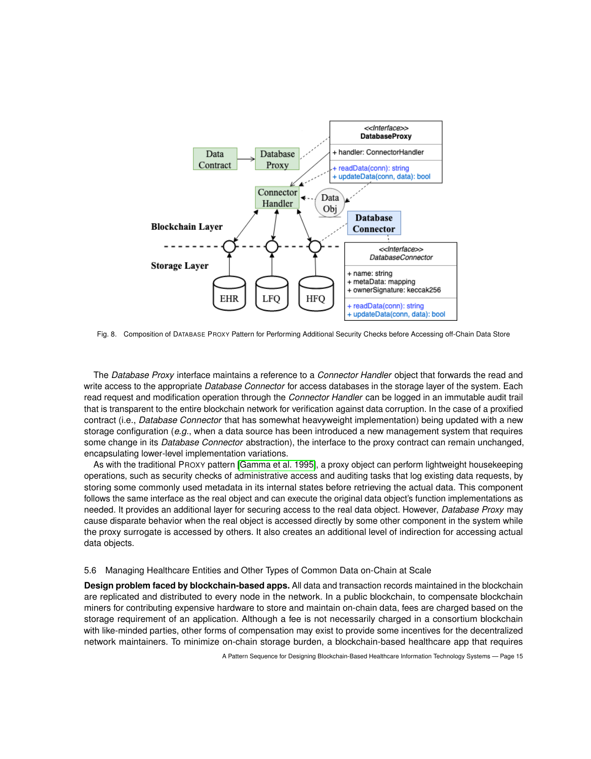

<span id="page-14-1"></span>Fig. 8. Composition of DATABASE PROXY Pattern for Performing Additional Security Checks before Accessing off-Chain Data Store

The *Database Proxy* interface maintains a reference to a *Connector Handler* object that forwards the read and write access to the appropriate *Database Connector* for access databases in the storage layer of the system. Each read request and modification operation through the *Connector Handler* can be logged in an immutable audit trail that is transparent to the entire blockchain network for verification against data corruption. In the case of a proxified contract (i.e., *Database Connector* that has somewhat heavyweight implementation) being updated with a new storage configuration (*e.g.*, when a data source has been introduced a new management system that requires some change in its *Database Connector* abstraction), the interface to the proxy contract can remain unchanged, encapsulating lower-level implementation variations.

As with the traditional PROXY pattern [\[Gamma et al.](#page-20-21) 1995], a proxy object can perform lightweight housekeeping operations, such as security checks of administrative access and auditing tasks that log existing data requests, by storing some commonly used metadata in its internal states before retrieving the actual data. This component follows the same interface as the real object and can execute the original data object's function implementations as needed. It provides an additional layer for securing access to the real data object. However, *Database Proxy* may cause disparate behavior when the real object is accessed directly by some other component in the system while the proxy surrogate is accessed by others. It also creates an additional level of indirection for accessing actual data objects.

#### <span id="page-14-0"></span>5.6 Managing Healthcare Entities and Other Types of Common Data on-Chain at Scale

**Design problem faced by blockchain-based apps.** All data and transaction records maintained in the blockchain are replicated and distributed to every node in the network. In a public blockchain, to compensate blockchain miners for contributing expensive hardware to store and maintain on-chain data, fees are charged based on the storage requirement of an application. Although a fee is not necessarily charged in a consortium blockchain with like-minded parties, other forms of compensation may exist to provide some incentives for the decentralized network maintainers. To minimize on-chain storage burden, a blockchain-based healthcare app that requires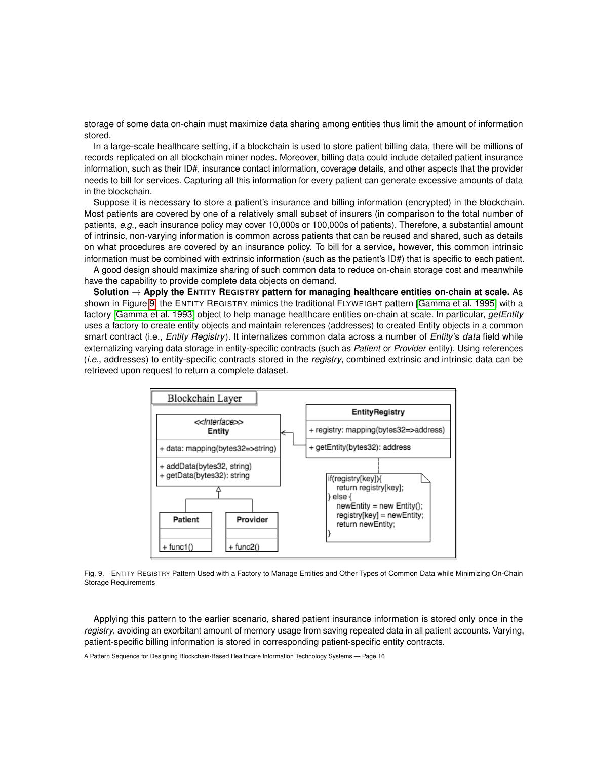storage of some data on-chain must maximize data sharing among entities thus limit the amount of information stored.

In a large-scale healthcare setting, if a blockchain is used to store patient billing data, there will be millions of records replicated on all blockchain miner nodes. Moreover, billing data could include detailed patient insurance information, such as their ID#, insurance contact information, coverage details, and other aspects that the provider needs to bill for services. Capturing all this information for every patient can generate excessive amounts of data in the blockchain.

Suppose it is necessary to store a patient's insurance and billing information (encrypted) in the blockchain. Most patients are covered by one of a relatively small subset of insurers (in comparison to the total number of patients, *e.g.*, each insurance policy may cover 10,000s or 100,000s of patients). Therefore, a substantial amount of intrinsic, non-varying information is common across patients that can be reused and shared, such as details on what procedures are covered by an insurance policy. To bill for a service, however, this common intrinsic information must be combined with extrinsic information (such as the patient's ID#) that is specific to each patient.

A good design should maximize sharing of such common data to reduce on-chain storage cost and meanwhile have the capability to provide complete data objects on demand.

**Solution** → **Apply the ENTITY REGISTRY pattern for managing healthcare entities on-chain at scale.** As shown in Figure [9,](#page-15-0) the ENTITY REGISTRY mimics the traditional FLYWEIGHT pattern [\[Gamma et al.](#page-20-21) 1995] with a factory [\[Gamma et al.](#page-20-31) 1993] object to help manage healthcare entities on-chain at scale. In particular, *getEntity* uses a factory to create entity objects and maintain references (addresses) to created Entity objects in a common smart contract (i.e., *Entity Registry*). It internalizes common data across a number of *Entity*'s *data* field while externalizing varying data storage in entity-specific contracts (such as *Patient* or *Provider* entity). Using references (*i.e.*, addresses) to entity-specific contracts stored in the *registry*, combined extrinsic and intrinsic data can be retrieved upon request to return a complete dataset.



<span id="page-15-0"></span>Fig. 9. ENTITY REGISTRY Pattern Used with a Factory to Manage Entities and Other Types of Common Data while Minimizing On-Chain Storage Requirements

Applying this pattern to the earlier scenario, shared patient insurance information is stored only once in the *registry*, avoiding an exorbitant amount of memory usage from saving repeated data in all patient accounts. Varying, patient-specific billing information is stored in corresponding patient-specific entity contracts.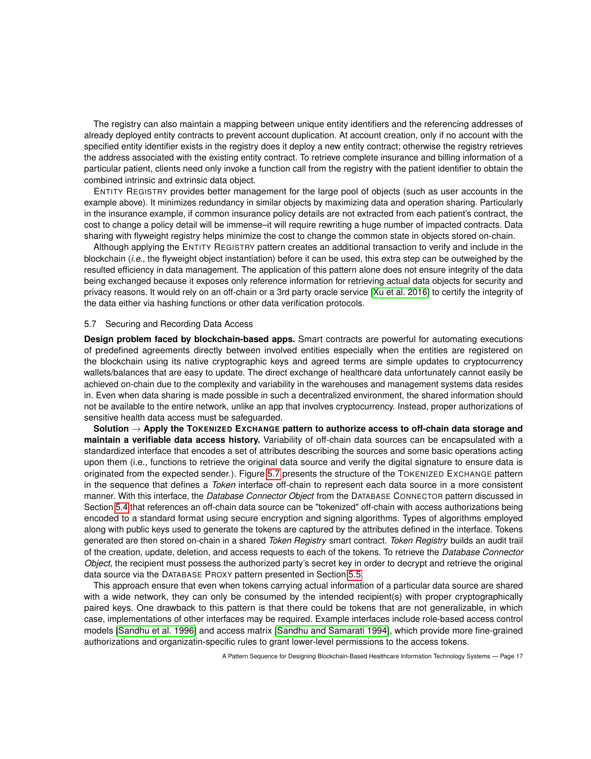The registry can also maintain a mapping between unique entity identifiers and the referencing addresses of already deployed entity contracts to prevent account duplication. At account creation, only if no account with the specified entity identifier exists in the registry does it deploy a new entity contract; otherwise the registry retrieves the address associated with the existing entity contract. To retrieve complete insurance and billing information of a particular patient, clients need only invoke a function call from the registry with the patient identifier to obtain the combined intrinsic and extrinsic data object.

ENTITY REGISTRY provides better management for the large pool of objects (such as user accounts in the example above). It minimizes redundancy in similar objects by maximizing data and operation sharing. Particularly in the insurance example, if common insurance policy details are not extracted from each patient's contract, the cost to change a policy detail will be immense–it will require rewriting a huge number of impacted contracts. Data sharing with flyweight registry helps minimize the cost to change the common state in objects stored on-chain.

Although applying the ENTITY REGISTRY pattern creates an additional transaction to verify and include in the blockchain (*i.e.*, the flyweight object instantiation) before it can be used, this extra step can be outweighed by the resulted efficiency in data management. The application of this pattern alone does not ensure integrity of the data being exchanged because it exposes only reference information for retrieving actual data objects for security and privacy reasons. It would rely on an off-chain or a 3rd party oracle service [\[Xu et al.](#page-21-11) 2016] to certify the integrity of the data either via hashing functions or other data verification protocols.

#### <span id="page-16-0"></span>5.7 Securing and Recording Data Access

**Design problem faced by blockchain-based apps.** Smart contracts are powerful for automating executions of predefined agreements directly between involved entities especially when the entities are registered on the blockchain using its native cryptographic keys and agreed terms are simple updates to cryptocurrency wallets/balances that are easy to update. The direct exchange of healthcare data unfortunately cannot easily be achieved on-chain due to the complexity and variability in the warehouses and management systems data resides in. Even when data sharing is made possible in such a decentralized environment, the shared information should not be available to the entire network, unlike an app that involves cryptocurrency. Instead, proper authorizations of sensitive health data access must be safeguarded.

**Solution** → **Apply the TOKENIZED EXCHANGE pattern to authorize access to off-chain data storage and maintain a verifiable data access history.** Variability of off-chain data sources can be encapsulated with a standardized interface that encodes a set of attributes describing the sources and some basic operations acting upon them (i.e., functions to retrieve the original data source and verify the digital signature to ensure data is originated from the expected sender.). Figure [5.7](#page-16-0) presents the structure of the TOKENIZED EXCHANGE pattern in the sequence that defines a *Token* interface off-chain to represent each data source in a more consistent manner. With this interface, the *Database Connector Object* from the DATABASE CONNECTOR pattern discussed in Section [5.4](#page-11-0) that references an off-chain data source can be "tokenized" off-chain with access authorizations being encoded to a standard format using secure encryption and signing algorithms. Types of algorithms employed along with public keys used to generate the tokens are captured by the attributes defined in the interface. Tokens generated are then stored on-chain in a shared *Token Registry* smart contract. *Token Registry* builds an audit trail of the creation, update, deletion, and access requests to each of the tokens. To retrieve the *Database Connector Object*, the recipient must possess the authorized party's secret key in order to decrypt and retrieve the original data source via the DATABASE PROXY pattern presented in Section [5.5.](#page-13-0)

This approach ensure that even when tokens carrying actual information of a particular data source are shared with a wide network, they can only be consumed by the intended recipient(s) with proper cryptographically paired keys. One drawback to this pattern is that there could be tokens that are not generalizable, in which case, implementations of other interfaces may be required. Example interfaces include role-based access control models [\[Sandhu et al.](#page-21-9) 1996] and access matrix [\[Sandhu and Samarati 1994\]](#page-21-10), which provide more fine-grained authorizations and organizatin-specific rules to grant lower-level permissions to the access tokens.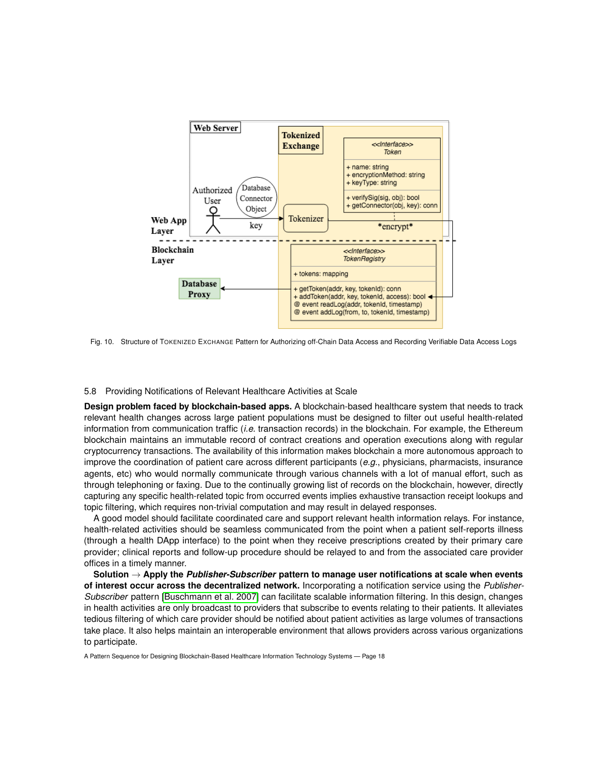

Fig. 10. Structure of TOKENIZED EXCHANGE Pattern for Authorizing off-Chain Data Access and Recording Verifiable Data Access Logs

#### <span id="page-17-0"></span>5.8 Providing Notifications of Relevant Healthcare Activities at Scale

**Design problem faced by blockchain-based apps.** A blockchain-based healthcare system that needs to track relevant health changes across large patient populations must be designed to filter out useful health-related information from communication traffic (*i.e.* transaction records) in the blockchain. For example, the Ethereum blockchain maintains an immutable record of contract creations and operation executions along with regular cryptocurrency transactions. The availability of this information makes blockchain a more autonomous approach to improve the coordination of patient care across different participants (*e.g.*, physicians, pharmacists, insurance agents, etc) who would normally communicate through various channels with a lot of manual effort, such as through telephoning or faxing. Due to the continually growing list of records on the blockchain, however, directly capturing any specific health-related topic from occurred events implies exhaustive transaction receipt lookups and topic filtering, which requires non-trivial computation and may result in delayed responses.

A good model should facilitate coordinated care and support relevant health information relays. For instance, health-related activities should be seamless communicated from the point when a patient self-reports illness (through a health DApp interface) to the point when they receive prescriptions created by their primary care provider; clinical reports and follow-up procedure should be relayed to and from the associated care provider offices in a timely manner.

**Solution** → **Apply the** *Publisher-Subscriber* **pattern to manage user notifications at scale when events of interest occur across the decentralized network.** Incorporating a notification service using the *Publisher-Subscriber* pattern [\[Buschmann et al.](#page-20-22) 2007] can facilitate scalable information filtering. In this design, changes in health activities are only broadcast to providers that subscribe to events relating to their patients. It alleviates tedious filtering of which care provider should be notified about patient activities as large volumes of transactions take place. It also helps maintain an interoperable environment that allows providers across various organizations to participate.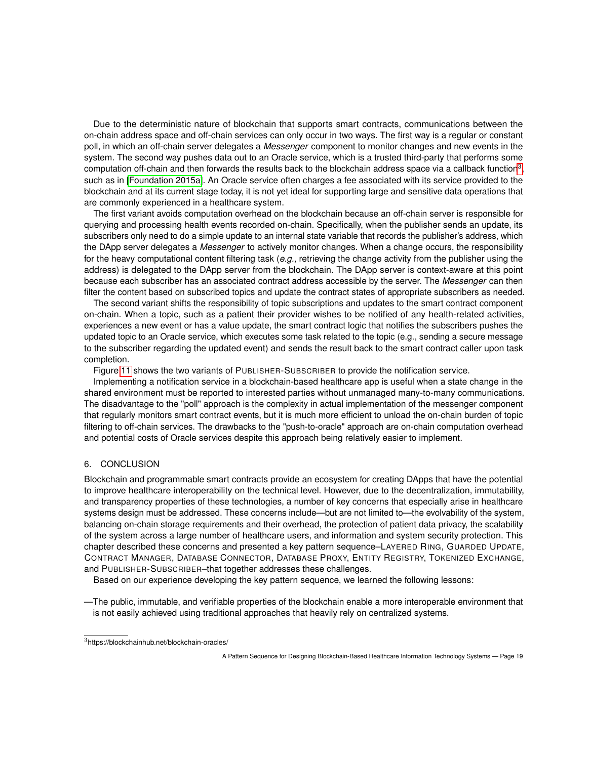Due to the deterministic nature of blockchain that supports smart contracts, communications between the on-chain address space and off-chain services can only occur in two ways. The first way is a regular or constant poll, in which an off-chain server delegates a *Messenger* component to monitor changes and new events in the system. The second way pushes data out to an Oracle service, which is a trusted third-party that performs some computation off-chain and then forwards the results back to the blockchain address space via a callback function<sup>[3](#page-18-1)</sup>, such as in [\[Foundation 2015a\]](#page-20-32). An Oracle service often charges a fee associated with its service provided to the blockchain and at its current stage today, it is not yet ideal for supporting large and sensitive data operations that are commonly experienced in a healthcare system.

The first variant avoids computation overhead on the blockchain because an off-chain server is responsible for querying and processing health events recorded on-chain. Specifically, when the publisher sends an update, its subscribers only need to do a simple update to an internal state variable that records the publisher's address, which the DApp server delegates a *Messenger* to actively monitor changes. When a change occurs, the responsibility for the heavy computational content filtering task (*e.g.,* retrieving the change activity from the publisher using the address) is delegated to the DApp server from the blockchain. The DApp server is context-aware at this point because each subscriber has an associated contract address accessible by the server. The *Messenger* can then filter the content based on subscribed topics and update the contract states of appropriate subscribers as needed.

The second variant shifts the responsibility of topic subscriptions and updates to the smart contract component on-chain. When a topic, such as a patient their provider wishes to be notified of any health-related activities, experiences a new event or has a value update, the smart contract logic that notifies the subscribers pushes the updated topic to an Oracle service, which executes some task related to the topic (e.g., sending a secure message to the subscriber regarding the updated event) and sends the result back to the smart contract caller upon task completion.

Figure [11](#page-19-5) shows the two variants of PUBLISHER-SUBSCRIBER to provide the notification service.

Implementing a notification service in a blockchain-based healthcare app is useful when a state change in the shared environment must be reported to interested parties without unmanaged many-to-many communications. The disadvantage to the "poll" approach is the complexity in actual implementation of the messenger component that regularly monitors smart contract events, but it is much more efficient to unload the on-chain burden of topic filtering to off-chain services. The drawbacks to the "push-to-oracle" approach are on-chain computation overhead and potential costs of Oracle services despite this approach being relatively easier to implement.

## <span id="page-18-0"></span>6. CONCLUSION

Blockchain and programmable smart contracts provide an ecosystem for creating DApps that have the potential to improve healthcare interoperability on the technical level. However, due to the decentralization, immutability, and transparency properties of these technologies, a number of key concerns that especially arise in healthcare systems design must be addressed. These concerns include—but are not limited to—the evolvability of the system, balancing on-chain storage requirements and their overhead, the protection of patient data privacy, the scalability of the system across a large number of healthcare users, and information and system security protection. This chapter described these concerns and presented a key pattern sequence–LAYERED RING, GUARDED UPDATE, CONTRACT MANAGER, DATABASE CONNECTOR, DATABASE PROXY, ENTITY REGISTRY, TOKENIZED EXCHANGE, and PUBLISHER-SUBSCRIBER–that together addresses these challenges.

Based on our experience developing the key pattern sequence, we learned the following lessons:

—The public, immutable, and verifiable properties of the blockchain enable a more interoperable environment that is not easily achieved using traditional approaches that heavily rely on centralized systems.

<span id="page-18-1"></span><sup>3</sup>https://blockchainhub.net/blockchain-oracles/

A Pattern Sequence for Designing Blockchain-Based Healthcare Information Technology Systems — Page 19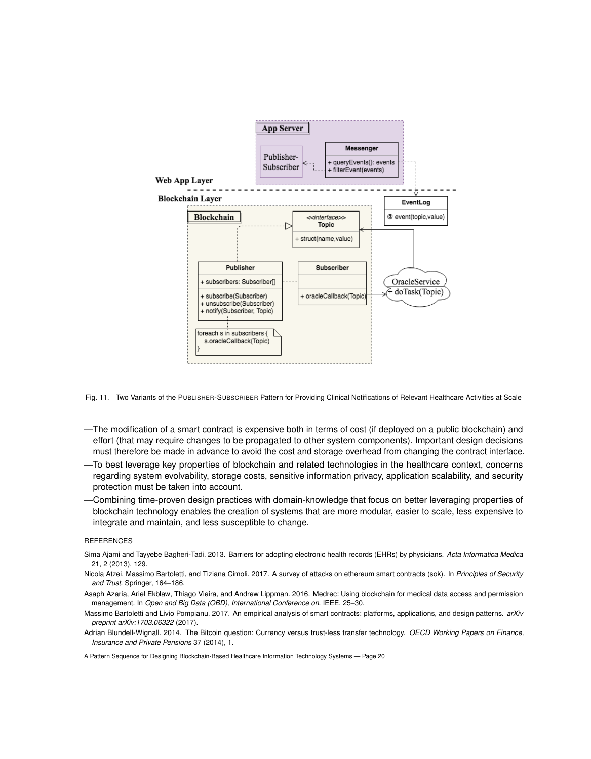

<span id="page-19-5"></span>Fig. 11. Two Variants of the PUBLISHER-SUBSCRIBER Pattern for Providing Clinical Notifications of Relevant Healthcare Activities at Scale

- —The modification of a smart contract is expensive both in terms of cost (if deployed on a public blockchain) and effort (that may require changes to be propagated to other system components). Important design decisions must therefore be made in advance to avoid the cost and storage overhead from changing the contract interface.
- —To best leverage key properties of blockchain and related technologies in the healthcare context, concerns regarding system evolvability, storage costs, sensitive information privacy, application scalability, and security protection must be taken into account.
- —Combining time-proven design practices with domain-knowledge that focus on better leveraging properties of blockchain technology enables the creation of systems that are more modular, easier to scale, less expensive to integrate and maintain, and less susceptible to change.

#### **REFERENCES**

- <span id="page-19-4"></span>Sima Ajami and Tayyebe Bagheri-Tadi. 2013. Barriers for adopting electronic health records (EHRs) by physicians. *Acta Informatica Medica* 21, 2 (2013), 129.
- <span id="page-19-3"></span>Nicola Atzei, Massimo Bartoletti, and Tiziana Cimoli. 2017. A survey of attacks on ethereum smart contracts (sok). In *Principles of Security and Trust*. Springer, 164–186.
- <span id="page-19-1"></span>Asaph Azaria, Ariel Ekblaw, Thiago Vieira, and Andrew Lippman. 2016. Medrec: Using blockchain for medical data access and permission management. In *Open and Big Data (OBD), International Conference on*. IEEE, 25–30.
- <span id="page-19-2"></span>Massimo Bartoletti and Livio Pompianu. 2017. An empirical analysis of smart contracts: platforms, applications, and design patterns. *arXiv preprint arXiv:1703.06322* (2017).
- <span id="page-19-0"></span>Adrian Blundell-Wignall. 2014. The Bitcoin question: Currency versus trust-less transfer technology. *OECD Working Papers on Finance, Insurance and Private Pensions* 37 (2014), 1.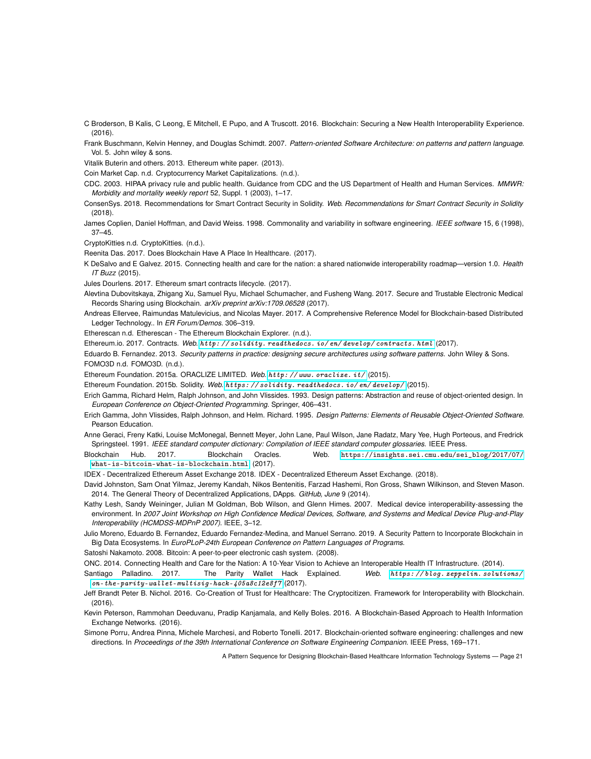- <span id="page-20-24"></span>C Broderson, B Kalis, C Leong, E Mitchell, E Pupo, and A Truscott. 2016. Blockchain: Securing a New Health Interoperability Experience. (2016).
- <span id="page-20-22"></span>Frank Buschmann, Kelvin Henney, and Douglas Schimdt. 2007. *Pattern-oriented Software Architecture: on patterns and pattern language*. Vol. 5. John wiley & sons.

<span id="page-20-1"></span>Vitalik Buterin and others. 2013. Ethereum white paper. (2013).

<span id="page-20-26"></span>Coin Market Cap. n.d. Cryptocurrency Market Capitalizations. (n.d.).

- <span id="page-20-18"></span>CDC. 2003. HIPAA privacy rule and public health. Guidance from CDC and the US Department of Health and Human Services. *MMWR: Morbidity and mortality weekly report* 52, Suppl. 1 (2003), 1–17.
- <span id="page-20-14"></span>ConsenSys. 2018. Recommendations for Smart Contract Security in Solidity. *Web. Recommendations for Smart Contract Security in Solidity* (2018).
- <span id="page-20-19"></span>James Coplien, Daniel Hoffman, and David Weiss. 1998. Commonality and variability in software engineering. *IEEE software* 15, 6 (1998), 37–45.

<span id="page-20-27"></span>CryptoKitties n.d. CryptoKitties. (n.d.).

<span id="page-20-4"></span>Reenita Das. 2017. Does Blockchain Have A Place In Healthcare. (2017).

<span id="page-20-3"></span>K DeSalvo and E Galvez. 2015. Connecting health and care for the nation: a shared nationwide interoperability roadmap—version 1.0. *Health IT Buzz* (2015).

<span id="page-20-9"></span>Jules Dourlens. 2017. Ethereum smart contracts lifecycle. (2017).

- <span id="page-20-25"></span>Alevtina Dubovitskaya, Zhigang Xu, Samuel Ryu, Michael Schumacher, and Fusheng Wang. 2017. Secure and Trustable Electronic Medical Records Sharing using Blockchain. *arXiv preprint arXiv:1709.06528* (2017).
- <span id="page-20-16"></span>Andreas Ellervee, Raimundas Matulevicius, and Nicolas Mayer. 2017. A Comprehensive Reference Model for Blockchain-based Distributed Ledger Technology.. In *ER Forum/Demos*. 306–319.

<span id="page-20-20"></span>Etherescan n.d. Etherescan - The Ethereum Blockchain Explorer. (n.d.).

<span id="page-20-10"></span>Ethereum.io. 2017. Contracts. *Web.* [http: // solidity. readthedocs. io/ en/ develop/ contracts. html](http://solidity.readthedocs.io/en/develop/contracts.html) (2017).

<span id="page-20-30"></span><span id="page-20-28"></span>Eduardo B. Fernandez. 2013. *Security patterns in practice: designing secure architectures using software patterns*. John Wiley & Sons. FOMO3D n.d. FOMO3D. (n.d.).

<span id="page-20-32"></span>Ethereum Foundation. 2015a. ORACLIZE LIMITED. *Web.* [http: // www. oraclize. it/](http://www.oraclize.it/) (2015).

- <span id="page-20-8"></span>Ethereum Foundation. 2015b. Solidity. *Web.* [https: // solidity. readthedocs. io/ en/ develop/](https://solidity.readthedocs.io/en/develop/) (2015).
- <span id="page-20-31"></span>Erich Gamma, Richard Helm, Ralph Johnson, and John Vlissides. 1993. Design patterns: Abstraction and reuse of object-oriented design. In *European Conference on Object-Oriented Programming*. Springer, 406–431.
- <span id="page-20-21"></span>Erich Gamma, John Vlissides, Ralph Johnson, and Helm. Richard. 1995. *Design Patterns: Elements of Reusable Object-Oriented Software*. Pearson Education.
- <span id="page-20-5"></span>Anne Geraci, Freny Katki, Louise McMonegal, Bennett Meyer, John Lane, Paul Wilson, Jane Radatz, Mary Yee, Hugh Porteous, and Fredrick Springsteel. 1991. *IEEE standard computer dictionary: Compilation of IEEE standard computer glossaries*. IEEE Press.
- <span id="page-20-7"></span>Blockchain Hub. 2017. Blockchain Oracles. Web. [https://insights.sei.cmu.edu/sei\\_blog/2017/07/](https://insights.sei.cmu.edu/sei_blog/2017/07/what-is-bitcoin-what-is-blockchain.html) [what-is-bitcoin-what-is-blockchain.html](https://insights.sei.cmu.edu/sei_blog/2017/07/what-is-bitcoin-what-is-blockchain.html). (2017).

<span id="page-20-29"></span>IDEX - Decentralized Ethereum Asset Exchange 2018. IDEX - Decentralized Ethereum Asset Exchange. (2018).

- <span id="page-20-2"></span>David Johnston, Sam Onat Yilmaz, Jeremy Kandah, Nikos Bentenitis, Farzad Hashemi, Ron Gross, Shawn Wilkinson, and Steven Mason. 2014. The General Theory of Decentralized Applications, DApps. *GitHub, June* 9 (2014).
- <span id="page-20-6"></span>Kathy Lesh, Sandy Weininger, Julian M Goldman, Bob Wilson, and Glenn Himes. 2007. Medical device interoperability-assessing the environment. In *2007 Joint Workshop on High Confidence Medical Devices, Software, and Systems and Medical Device Plug-and-Play Interoperability (HCMDSS-MDPnP 2007)*. IEEE, 3–12.
- <span id="page-20-15"></span>Julio Moreno, Eduardo B. Fernandez, Eduardo Fernandez-Medina, and Manuel Serrano. 2019. A Security Pattern to Incorporate Blockchain in Big Data Ecosystems. In *EuroPLoP-24th European Conference on Pattern Languages of Programs*.
- <span id="page-20-0"></span>Satoshi Nakamoto. 2008. Bitcoin: A peer-to-peer electronic cash system. (2008).

<span id="page-20-17"></span>ONC. 2014. Connecting Health and Care for the Nation: A 10-Year Vision to Achieve an Interoperable Health IT Infrastructure. (2014).

- <span id="page-20-13"></span>Santiago Palladino. 2017. The Parity Wallet Hack Explained. *Web.* [https: // blog. zeppelin. solutions/](https://blog.zeppelin.solutions/on-the-parity-wallet-multisig-hack-405a8c12e8f7) [on-the-parity-wallet-multisig-hack-405a8c12e8f7](https://blog.zeppelin.solutions/on-the-parity-wallet-multisig-hack-405a8c12e8f7) (2017).
- <span id="page-20-23"></span>Jeff Brandt Peter B. Nichol. 2016. Co-Creation of Trust for Healthcare: The Cryptocitizen. Framework for Interoperability with Blockchain. (2016).
- <span id="page-20-11"></span>Kevin Peterson, Rammohan Deeduvanu, Pradip Kanjamala, and Kelly Boles. 2016. A Blockchain-Based Approach to Health Information Exchange Networks. (2016).

<span id="page-20-12"></span>Simone Porru, Andrea Pinna, Michele Marchesi, and Roberto Tonelli. 2017. Blockchain-oriented software engineering: challenges and new directions. In *Proceedings of the 39th International Conference on Software Engineering Companion*. IEEE Press, 169–171.